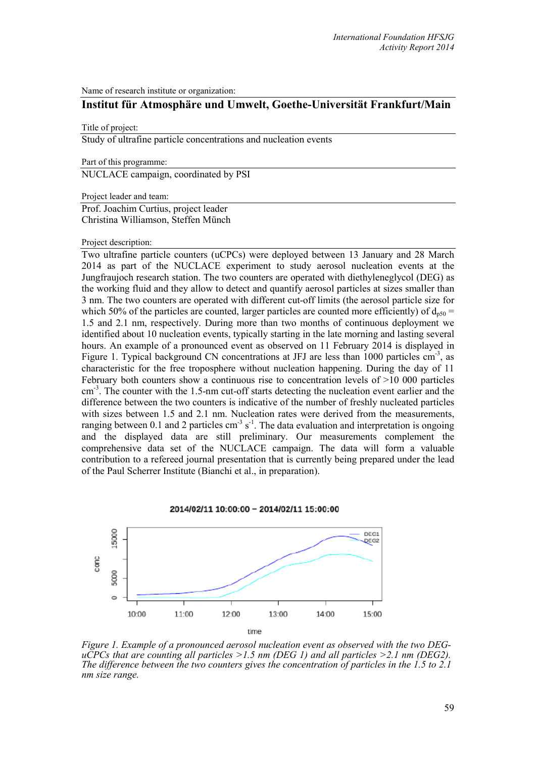Name of research institute or organization:

## **Institut für Atmosphäre und Umwelt, Goethe-Universität Frankfurt/Main**

## Title of project:

Study of ultrafine particle concentrations and nucleation events

Part of this programme:

NUCLACE campaign, coordinated by PSI

Project leader and team:

Prof. Joachim Curtius, project leader Christina Williamson, Steffen Münch

## Project description:

Two ultrafine particle counters (uCPCs) were deployed between 13 January and 28 March 2014 as part of the NUCLACE experiment to study aerosol nucleation events at the Jungfraujoch research station. The two counters are operated with diethyleneglycol (DEG) as the working fluid and they allow to detect and quantify aerosol particles at sizes smaller than 3 nm. The two counters are operated with different cut-off limits (the aerosol particle size for which 50% of the particles are counted, larger particles are counted more efficiently) of  $d_{p50}$  = 1.5 and 2.1 nm, respectively. During more than two months of continuous deployment we identified about 10 nucleation events, typically starting in the late morning and lasting several hours. An example of a pronounced event as observed on 11 February 2014 is displayed in Figure 1. Typical background CN concentrations at JFJ are less than 1000 particles  $cm^{-3}$ , as characteristic for the free troposphere without nucleation happening. During the day of 11 February both counters show a continuous rise to concentration levels of >10 000 particles cm<sup>-3</sup>. The counter with the 1.5-nm cut-off starts detecting the nucleation event earlier and the difference between the two counters is indicative of the number of freshly nucleated particles with sizes between 1.5 and 2.1 nm. Nucleation rates were derived from the measurements, ranging between 0.1 and 2 particles  $cm^{-3}$  s<sup>-1</sup>. The data evaluation and interpretation is ongoing and the displayed data are still preliminary. Our measurements complement the comprehensive data set of the NUCLACE campaign. The data will form a valuable contribution to a refereed journal presentation that is currently being prepared under the lead of the Paul Scherrer Institute (Bianchi et al., in preparation).





*Figure 1. Example of a pronounced aerosol nucleation event as observed with the two DEG-uCPCs that are counting all particles >1.5 nm (DEG 1) and all particles >2.1 nm (DEG2). The difference between the two counters gives the concentration of particles in the 1.5 to 2.1 nm size range.*